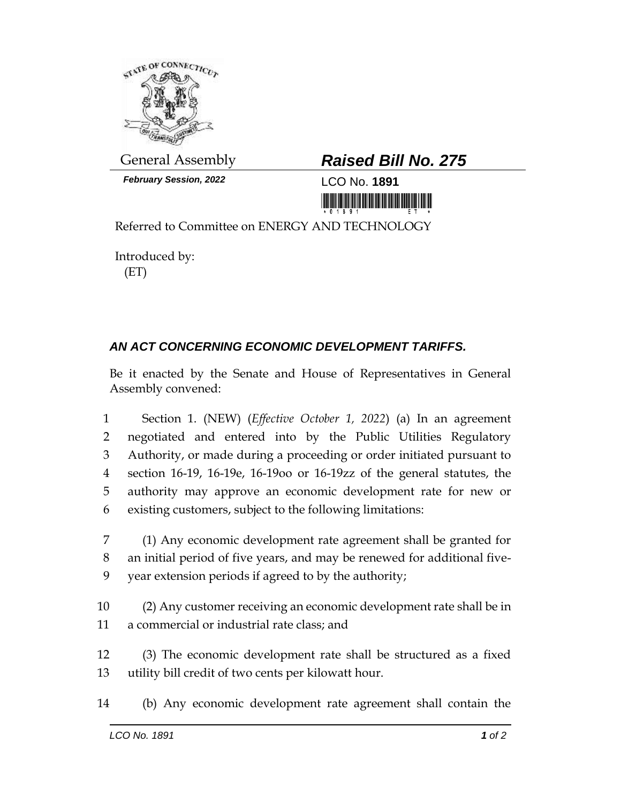

*February Session, 2022* LCO No. **1891**

## General Assembly *Raised Bill No. 275*

<u> III MARIJI MARIJI MARIJI MARIJI MARIJI MARIJI MARIJI MARIJI MARIJI MARIJI MARIJI MARIJI MARIJI MARIJI MARIJI </u>

Referred to Committee on ENERGY AND TECHNOLOGY

Introduced by: (ET)

## *AN ACT CONCERNING ECONOMIC DEVELOPMENT TARIFFS.*

Be it enacted by the Senate and House of Representatives in General Assembly convened:

 Section 1. (NEW) (*Effective October 1, 2022*) (a) In an agreement negotiated and entered into by the Public Utilities Regulatory Authority, or made during a proceeding or order initiated pursuant to section 16-19, 16-19e, 16-19oo or 16-19zz of the general statutes, the authority may approve an economic development rate for new or existing customers, subject to the following limitations:

7 (1) Any economic development rate agreement shall be granted for 8 an initial period of five years, and may be renewed for additional five-9 year extension periods if agreed to by the authority;

10 (2) Any customer receiving an economic development rate shall be in 11 a commercial or industrial rate class; and

12 (3) The economic development rate shall be structured as a fixed 13 utility bill credit of two cents per kilowatt hour.

14 (b) Any economic development rate agreement shall contain the